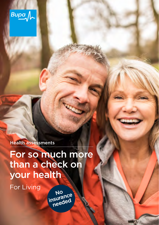

Health assessments

For so much more than a check on your health

For Living

No<br>
insurance needed<br>needed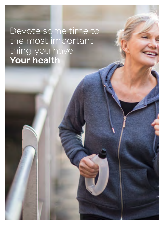# Devote some time to the most important thing you have. Your health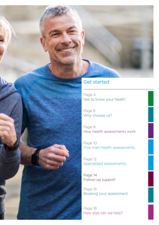

## Get started

Page 4 Get to know your health

Page 6 Why choose us?

Page 8 How health assessments work I

I

I

I

I

I

I

Page 10 Five main health assessments

Page 12 Specialised assessments

Page 14 Follow-up support

Page 16 Booking your assessment

Page 18 How else can we help?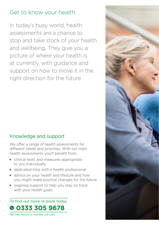# Get to know your health

In today's busy world, health assessments are a chance to stop and take stock of your health and wellbeing. They give you a picture of where your health is at currently, with guidance and support on how to move it in the right direction for the future.

# Knowledge and support

We offer a range of health assessments for different needs and priorities. With our main health assessments you'll benefit from:

- clinical tests and measures appropriate to you individually
- $\blacksquare$  dedicated time with a health professional
- advice on your health and lifestyle and how you might make positive changes for the future
- $\blacksquare$  ongoing support to help you stay on track with your health goals

To find out more or book today **0 0333 305 9678**<br>We may record or monitor our calls.

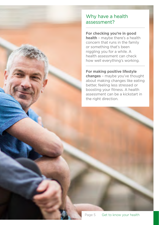

### Why have a health assessment?

#### **For checking you're in good**

**health** – maybe there's a health concern that runs in the family or something that's been niggling you for a while. A health assessment can check how well everything's working.

**For making positive lifestyle changes** – maybe you've thought about making changes like eating better, feeling less stressed or boosting your fitness. A health assessment can be a kickstart in the right direction.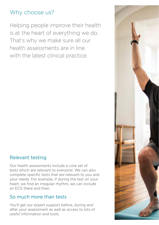# Why choose us?

Helping people improve their health is at the heart of everything we do. That's why we make sure all our health assessments are in line with the latest clinical practice.

### Relevant testing

Our health assessments include a core set of tests which are relevant to everyone. We can also complete specific tests that are relevant to you and your needs. For example, if during the test on your heart, we find an irregular rhythm, we can include an ECG there and then.

# So much more than tests

You'll get our expert support before, during and after your assessment as well as access to lots of useful information and tools.

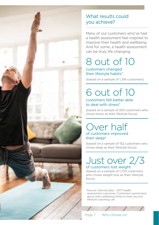

# What results could you achieve?

Many of our customers who've had a health assessment feel inspired to improve their health and wellbeing. And for some, a health assessment can be truly life changing.

# 8 out of 10

#### customers changed their lifestyle habits\*

(based on a sample of 1,316 customers)

# 6 out of 10

#### customers felt better able to deal with stress\*

(based on a sample of 205 customers who chose stress as their lifestyle focus)

# Over half of customers improved their sleep\*

(based on a sample of 152 customers who chose sleep as their lifestyle focus)

# Just over 2/3 of customers lost weight

(based on a sample of 1,733 customers who chose weight loss as their lifestyle focus)

\*Source: Internal data – 2017 health assessment outcomes. Customers questioned about their wellbeing while on their second lifestyle coaching call.

Page 7 Why choose us?



i<br>Indonésia<br>Indonésia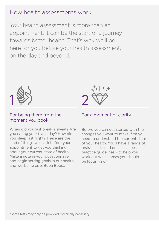# How health assessments work

Your health assessment is more than an appointment; it can be the start of a journey towards better health. That's why we'll be here for you before your health assessment, on the day and beyond.



#### For being there from the moment you book

When did you last break a sweat? Are you eating your five a day? How did you sleep last night? These are the kind of things we'll ask before your appointment to get you thinking about your current state of health. Make a note in your questionnaire and begin setting goals in our health and wellbeing app, Bupa Boost.



#### For a moment of clarity

Before you can get started with the changes you want to make, first you need to understand the current state of your health. You'll have a range of tests\* – all based on clinical best practice guidelines – to help you work out which areas you should be focusing on.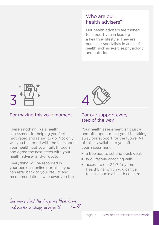### Who are our health advisers?

Our health advisers are trained to support you in leading a healthier lifestyle. They are nurses or specialists in areas of health such as exercise physiology and nutrition.



### For making this your moment

There's nothing like a health assessment for helping you feel motivated and raring to go. Not only will you be armed with the facts about your health, but you'll talk through and agree the next steps with your health adviser and/or doctor.

Everything will be recorded in your personal online portal, so you can refer back to your results and recommendations whenever you like.



#### For our support every step of the way

Your health assessment isn't just a one-off appointment; you'll be taking away our support for the future. All of this is available to you after your assessment:

- a free app to set and track goals
- two lifestyle coaching calls
- $\blacksquare$  access to our 24/7 Anytime HealthLine, which you can call to ask a nurse a health concern.

See more about the Anytime HealthLine and health coaching on page 16

i<br>Indonésia<br>Indonésia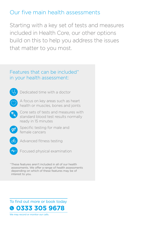# Our five main health assessments

Starting with a key set of tests and measures included in Health Core, our other options build on this to help you address the issues that matter to you most.

# Features that can be included^ in your health assessment:



Dedicated time with a doctor



A focus on key areas such as heart health or muscles, bones and joints

Core sets of tests and measures with standard blood test results normally ready in 15 minutes **U** Ded<br>
<br>
A fc<br>
heal<br> **S** Core<br>
stan



Specific testing for male and female cancers



Advanced fitness testing



Focused physical examination

^These features aren't included in all of our health assessments. We offer a range of health assessments depending on which of these features may be of interest to you.



We may record or monitor our calls.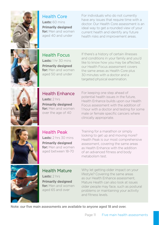

# Health Core

**Lasts:** 60 mins

**Primarily designed for:** Men and women aged 40 and under

For individuals who do not currently have any issues that require time with a doctor. Our Health Core assessment is an ideal way to get a rounded view of your current health and identify any future health risks and improvement areas.



Health Focus **Lasts:** 1 hr 30 mins **Primarily designed for:** Men and women aged 50 and under

If there's a history of certain illnesses and conditions in your family and you'd like to know how you may be affected, our Health Focus assessment covers the same areas as Health Core plus 30 minutes with a doctor and a targeted physical examination.



Health Enhance **Lasts:** 2 hrs **Primarily designed for:** Men and women over the age of 40

For keeping one step ahead of potential health issues in the future, Health Enhance builds upon our Health Focus assessment with the addition of 1 hour with a doctor and testing for some male or female specific cancers where clinically appropriate.



Health Peak **Lasts:** 2 hrs 30 mins **Primarily designed for:** Men and women aged between 18-70

Training for a marathon or simply looking to get up and moving more? Health Peak is our most comprehensive assessment, covering the same areas as Health Enhance with the addition of an advanced fitness and body metabolism test.



Health Mature **Lasts:** 2 hrs **Primarily designed for:** Men and women aged 65 and over

Why let getting older impact on your lifestyle? Covering the same areas as our Health Enhance assessment, Mature Health can also look at issues older people may face, such as postural problems or maintaining your activity and fitness levels.

Note: our five main assessments are available to anyone aged 18 and over.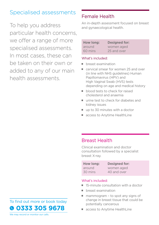# Specialised assessments

To help you address particular health concerns, we offer a range of more specialised assessments. In most cases, these can be taken on their own or added to any of our main health assessments.

# Female Health

An in-depth assessment focused on breast and gynaecological health.

| <b>How long:</b> | Designed for: |
|------------------|---------------|
| around           | women aged    |
| 60 mins          | 25 and over   |

#### What's included:

- hreast examination
- cervical smear for women 25 and over (in line with NHS guidelines) Human Papillomavirus (HPV) and High Vaginal Swab (HVS) tests depending on age and medical history
- $\blacksquare$  blood tests to check for raised cholesterol and anaemia
- $\blacksquare$  urine test to check for diabetes and kidney issues
- $\Box$  up to 30 minutes with a doctor
- access to Anytime HealthLine

### Breast Health

Clinical examination and doctor consultation followed by a specialist breast X-ray.

| <b>How long:</b> | <b>Designed for:</b> |
|------------------|----------------------|
| around           | women aged           |
| 30 mins          | 40 and over          |

#### What's included:

- 15-minute consultation with a doctor
- breast examination
- mammogram to spot any signs of change in breast tissue that could be potentially cancerous
- access to Anytime HealthLine

To find out more or book today **0 0333 305 9678**<br>We may record or monitor our calls.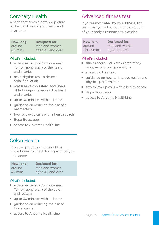### Coronary Health

A scan that gives a detailed picture of the condition of your heart and its arteries.

| <b>How long:</b> | <b>Designed for:</b> |
|------------------|----------------------|
| around           | men and women        |
| 60 mins          | aged 45 and over     |

#### What's included:

- a detailed X-ray (Computerised Tomography scan) of the heart and arteries
- $\blacksquare$  heart rhythm test to detect atrial fibrillation
- $\blacksquare$  measure of cholesterol and levels of fatty deposits around the heart and arteries
- $\Box$  up to 30 minutes with a doctor
- guidance on reducing the risk of a heart attack
- $\blacksquare$  two follow-up calls with a health coach
- Bupa Boost app
- access to Anytime HealthLine

# Advanced fitness test

If you're motivated by your fitness, this test gives you a thorough understanding of your body's response to exercise.

| How long:     | <b>Designed for:</b> |
|---------------|----------------------|
| around        | men and women        |
| $1hr$ 15 mins | aged 18 to 70        |

#### What's included:

- $\blacksquare$  fitness score VO<sub>2</sub> max (predicted) using respiratory gas analysis
- $\blacksquare$  anaerobic threshold
- quidance on how to improve health and physical performance
- two follow-up calls with a health coach
- Bupa Boost app
- $\blacksquare$  access to Anytime HealthLine

### Colon Health

This scan produces images of the whole bowel to check for signs of polyps and cancer.

| <b>How long:</b> | <b>Designed for:</b> |
|------------------|----------------------|
| around           | men and women        |
| 45 mins          | aged 45 and over     |

#### What's included:

- a detailed X-ray (Computerised Tomography scan) of the colon and rectum
- $\Box$  up to 30 minutes with a doctor
- $\Box$  quidance on reducing the risk of bowel cancer
-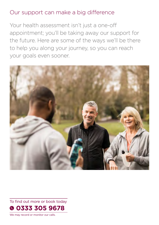# Our support can make a big difference

Your health assessment isn't just a one-off appointment; you'll be taking away our support for the future. Here are some of the ways we'll be there to help you along your journey, so you can reach your goals even sooner.



To find out more or book today **0 0333 305 9678**<br>We may record or monitor our calls.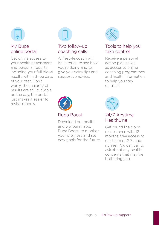

### My Bupa online portal

Get online access to your health assessment and personal reports, including your full blood results within three days of your test. Don't worry, the majority of results are still available on the day, the portal just makes it easier to revisit reports.



### Two follow-up coaching calls

A lifestyle coach will be in touch to see how you're doing and to give you extra tips and supportive advice.



### Tools to help you take control

Receive a personal action plan as well as access to online coaching programmes and health information to help you stay on track.



Bupa Boost

Download our health and wellbeing app, Bupa Boost, to monitor your progress and set new goals for the future.



#### 24/7 Anytime HealthLine

Get round the clock reassurance with 12 months' free access to our team of GPs and nurses. You can call to ask about any health concerns that may be bothering you.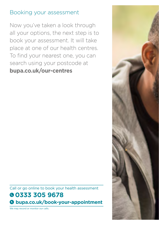# Booking your assessment

Now you've taken a look through all your options, the next step is to book your assessment. It will take place at one of our health centres. To find your nearest one, you can search using your postcode at **bupa.co.uk/our-centres**

Call or go online to book your health assessment

# **0333 305 9678 bupa.co.uk/book-your-appointment** • 0

We may record or monitor our calls.

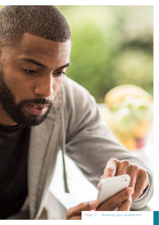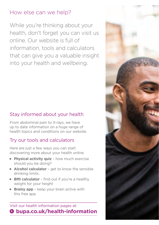# How else can we help?

While you're thinking about your health, don't forget you can visit us online. Our website is full of information, tools and calculators that can give you a valuable insight into your health and wellbeing.

# Stay informed about your health

From abdominal pain to X-rays, we have up to date information on a huge range of health topics and conditions on our website.

# Try our tools and calculators

Here are just a few ways you can start discovering more about your health online.

- **Physical activity quiz** how much exercise should you be doing?
- **Alcohol calculator** get to know the sensible drinking limits.
- **BMI calculator** find out if you're a healthy weight for your height
- **Brainy app** keep your brain active with this free app

Visit our health information pages at: 0 **bupa.co.uk/health-information**

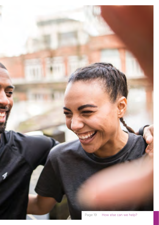